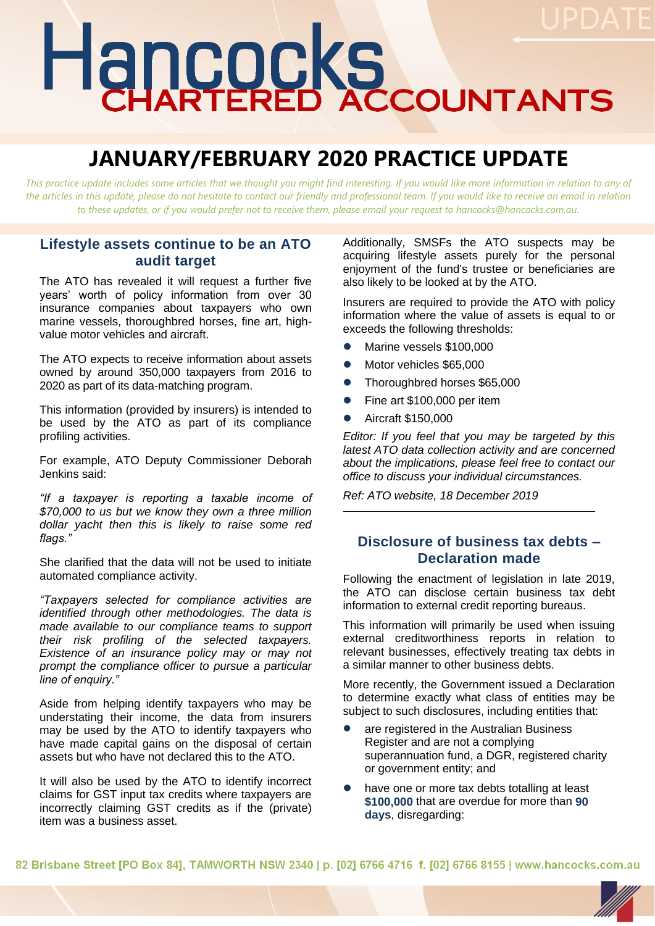# Hancocks

# **JANUARY/FEBRUARY 2020 PRACTICE UPDATE**

*This practice update includes some articles that we thought you might find interesting. If you would like more information in relation to any of*  the articles in this update, please do not hesitate to contact our friendly and professional team. If you would like to receive an email in relation *to these updates, or if you would prefer not to receive them, please email your request to hancocks@hancocks.com.au.* 

## **Lifestyle assets continue to be an ATO audit target**

The ATO has revealed it will request a further five years' worth of policy information from over 30 insurance companies about taxpayers who own marine vessels, thoroughbred horses, fine art, highvalue motor vehicles and aircraft.

The ATO expects to receive information about assets owned by around 350,000 taxpayers from 2016 to 2020 as part of its data-matching program.

This information (provided by insurers) is intended to be used by the ATO as part of its compliance profiling activities.

For example, ATO Deputy Commissioner Deborah Jenkins said:

*"If a taxpayer is reporting a taxable income of \$70,000 to us but we know they own a three million dollar yacht then this is likely to raise some red flags."* 

She clarified that the data will not be used to initiate automated compliance activity.

*"Taxpayers selected for compliance activities are identified through other methodologies. The data is made available to our compliance teams to support their risk profiling of the selected taxpayers. Existence of an insurance policy may or may not prompt the compliance officer to pursue a particular line of enquiry."*

Aside from helping identify taxpayers who may be understating their income, the data from insurers may be used by the ATO to identify taxpayers who have made capital gains on the disposal of certain assets but who have not declared this to the ATO.

It will also be used by the ATO to identify incorrect claims for GST input tax credits where taxpayers are incorrectly claiming GST credits as if the (private) item was a business asset.

Additionally, SMSFs the ATO suspects may be acquiring lifestyle assets purely for the personal enjoyment of the fund's trustee or beneficiaries are also likely to be looked at by the ATO.

Insurers are required to provide the ATO with policy information where the value of assets is equal to or exceeds the following thresholds:

- ⚫ Marine vessels \$100,000
- Motor vehicles \$65,000
- Thoroughbred horses \$65,000
- Fine art \$100,000 per item
- ⚫ Aircraft \$150,000

*Editor: If you feel that you may be targeted by this latest ATO data collection activity and are concerned about the implications, please feel free to contact our office to discuss your individual circumstances.* 

*Ref: ATO website, 18 December 2019*

## **Disclosure of business tax debts – Declaration made**

Following the enactment of legislation in late 2019, the ATO can disclose certain business tax debt information to external credit reporting bureaus.

This information will primarily be used when issuing external creditworthiness reports in relation to relevant businesses, effectively treating tax debts in a similar manner to other business debts.

More recently, the Government issued a Declaration to determine exactly what class of entities may be subject to such disclosures, including entities that:

- ⚫ are registered in the Australian Business Register and are not a complying superannuation fund, a DGR, registered charity or government entity; and
- ⚫ have one or more tax debts totalling at least **\$100,000** that are overdue for more than **90 days**, disregarding:

82 Brisbane Street [PO Box 84], TAMWORTH NSW 2340 | p. [02] 6766 4716 f. [02] 6766 8155 | www.hancocks.com.au